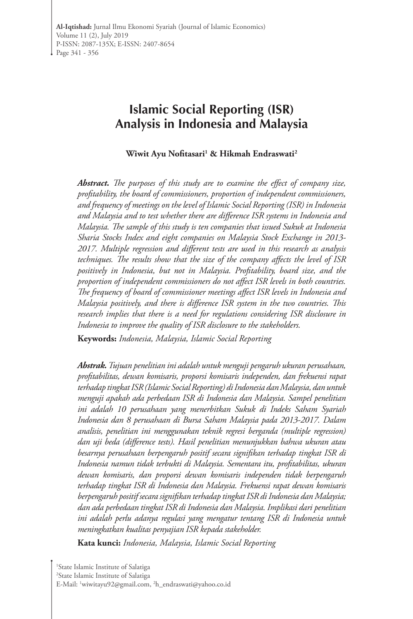# **Islamic Social Reporting (ISR) Analysis in Indonesia and Malaysia**

**Wiwit Ayu Nofitasari<sup>1</sup> & Hikmah Endraswati2**

*Abstract. The purposes of this study are to examine the effect of company size, profitability, the board of commissioners, proportion of independent commissioners, and frequency of meetings on the level of Islamic Social Reporting (ISR) in Indonesia and Malaysia and to test whether there are difference ISR systems in Indonesia and Malaysia. The sample of this study is ten companies that issued Sukuk at Indonesia Sharia Stocks Index and eight companies on Malaysia Stock Exchange in 2013- 2017. Multiple regression and different tests are used in this research as analysis techniques. The results show that the size of the company affects the level of ISR positively in Indonesia, but not in Malaysia. Profitability, board size, and the proportion of independent commissioners do not affect ISR levels in both countries. The frequency of board of commissioner meetings affect ISR levels in Indonesia and Malaysia positively, and there is difference ISR system in the two countries. This research implies that there is a need for regulations considering ISR disclosure in Indonesia to improve the quality of ISR disclosure to the stakeholders.*

**Keywords:** *Indonesia, Malaysia, Islamic Social Reporting*

*Abstrak. Tujuan penelitian ini adalah untuk menguji pengaruh ukuran perusahaan, profitabilitas, dewan komisaris, proporsi komisaris independen, dan frekuensi rapat terhadap tingkat ISR (Islamic Social Reporting) di Indonesia dan Malaysia, dan untuk menguji apakah ada perbedaan ISR di Indonesia dan Malaysia. Sampel penelitian ini adalah 10 perusahaan yang menerbitkan Sukuk di Indeks Saham Syariah Indonesia dan 8 perusahaan di Bursa Saham Malaysia pada 2013-2017. Dalam analisis, penelitian ini menggunakan teknik regresi berganda (multiple regression) dan uji beda (difference tests). Hasil penelitian menunjukkan bahwa ukuran atau besarnya perusahaan berpengaruh positif secara signifikan terhadap tingkat ISR di Indonesia namun tidak terbukti di Malaysia. Sementara itu, profitabilitas, ukuran dewan komisaris, dan proporsi dewan komisaris independen tidak berpengaruh terhadap tingkat ISR di Indonesia dan Malaysia. Frekuensi rapat dewan komisaris berpengaruh positif secara signifikan terhadap tingkat ISR di Indonesia dan Malaysia; dan ada perbedaan tingkat ISR di Indonesia dan Malaysia. Implikasi dari penelitian ini adalah perlu adanya regulasi yang mengatur tentang ISR di Indonesia untuk meningkatkan kualitas penyajian ISR kepada stakeholder.*

**Kata kunci:** *Indonesia, Malaysia, Islamic Social Reporting*

<sup>1</sup>State Islamic Institute of Salatiga 2 State Islamic Institute of Salatiga E-Mail: 1 wiwitayu92@gmail.com, 2 h\_endraswati@yahoo.co.id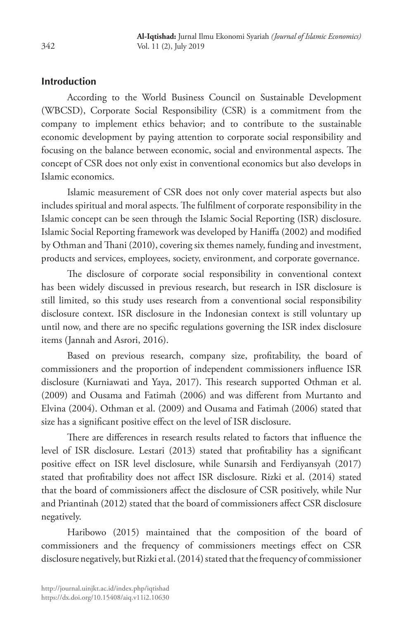## **Introduction**

According to the World Business Council on Sustainable Development (WBCSD), Corporate Social Responsibility (CSR) is a commitment from the company to implement ethics behavior; and to contribute to the sustainable economic development by paying attention to corporate social responsibility and focusing on the balance between economic, social and environmental aspects. The concept of CSR does not only exist in conventional economics but also develops in Islamic economics.

Islamic measurement of CSR does not only cover material aspects but also includes spiritual and moral aspects. The fulfilment of corporate responsibility in the Islamic concept can be seen through the Islamic Social Reporting (ISR) disclosure. Islamic Social Reporting framework was developed by Haniffa (2002) and modified by Othman and Thani (2010), covering six themes namely, funding and investment, products and services, employees, society, environment, and corporate governance.

The disclosure of corporate social responsibility in conventional context has been widely discussed in previous research, but research in ISR disclosure is still limited, so this study uses research from a conventional social responsibility disclosure context. ISR disclosure in the Indonesian context is still voluntary up until now, and there are no specific regulations governing the ISR index disclosure items (Jannah and Asrori, 2016).

Based on previous research, company size, profitability, the board of commissioners and the proportion of independent commissioners influence ISR disclosure (Kurniawati and Yaya, 2017). This research supported Othman et al. (2009) and Ousama and Fatimah (2006) and was different from Murtanto and Elvina (2004). Othman et al. (2009) and Ousama and Fatimah (2006) stated that size has a significant positive effect on the level of ISR disclosure.

There are differences in research results related to factors that influence the level of ISR disclosure. Lestari (2013) stated that profitability has a significant positive effect on ISR level disclosure, while Sunarsih and Ferdiyansyah (2017) stated that profitability does not affect ISR disclosure. Rizki et al. (2014) stated that the board of commissioners affect the disclosure of CSR positively, while Nur and Priantinah (2012) stated that the board of commissioners affect CSR disclosure negatively.

Haribowo (2015) maintained that the composition of the board of commissioners and the frequency of commissioners meetings effect on CSR disclosure negatively, but Rizki et al. (2014) stated that the frequency of commissioner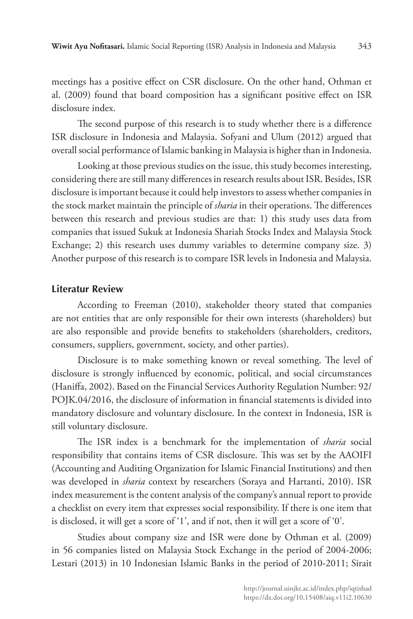meetings has a positive effect on CSR disclosure. On the other hand, Othman et al. (2009) found that board composition has a significant positive effect on ISR disclosure index.

The second purpose of this research is to study whether there is a difference ISR disclosure in Indonesia and Malaysia. Sofyani and Ulum (2012) argued that overall social performance of Islamic banking in Malaysia is higher than in Indonesia.

Looking at those previous studies on the issue, this study becomes interesting, considering there are still many differences in research results about ISR. Besides, ISR disclosure is important because it could help investors to assess whether companies in the stock market maintain the principle of *sharia* in their operations. The differences between this research and previous studies are that: 1) this study uses data from companies that issued Sukuk at Indonesia Shariah Stocks Index and Malaysia Stock Exchange; 2) this research uses dummy variables to determine company size. 3) Another purpose of this research is to compare ISR levels in Indonesia and Malaysia.

### **Literatur Review**

According to Freeman (2010), stakeholder theory stated that companies are not entities that are only responsible for their own interests (shareholders) but are also responsible and provide benefits to stakeholders (shareholders, creditors, consumers, suppliers, government, society, and other parties).

Disclosure is to make something known or reveal something. The level of disclosure is strongly influenced by economic, political, and social circumstances (Haniffa, 2002). Based on the Financial Services Authority Regulation Number: 92/ POJK.04/2016, the disclosure of information in financial statements is divided into mandatory disclosure and voluntary disclosure. In the context in Indonesia, ISR is still voluntary disclosure.

The ISR index is a benchmark for the implementation of *sharia* social responsibility that contains items of CSR disclosure. This was set by the AAOIFI (Accounting and Auditing Organization for Islamic Financial Institutions) and then was developed in *sharia* context by researchers (Soraya and Hartanti, 2010). ISR index measurement is the content analysis of the company's annual report to provide a checklist on every item that expresses social responsibility. If there is one item that is disclosed, it will get a score of '1', and if not, then it will get a score of '0'.

Studies about company size and ISR were done by Othman et al. (2009) in 56 companies listed on Malaysia Stock Exchange in the period of 2004-2006; Lestari (2013) in 10 Indonesian Islamic Banks in the period of 2010-2011; Sirait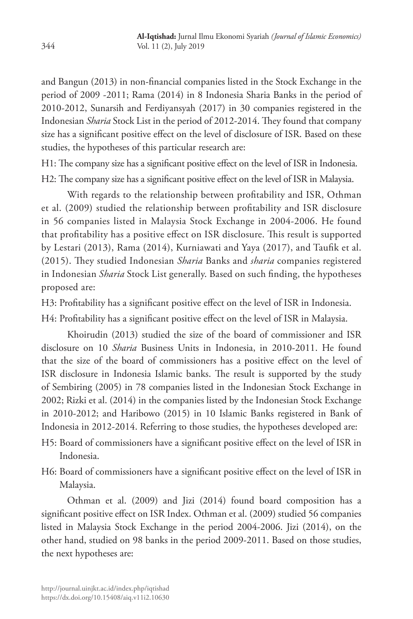and Bangun (2013) in non-financial companies listed in the Stock Exchange in the period of 2009 -2011; Rama (2014) in 8 Indonesia Sharia Banks in the period of 2010-2012, Sunarsih and Ferdiyansyah (2017) in 30 companies registered in the Indonesian *Sharia* Stock List in the period of 2012-2014. They found that company size has a significant positive effect on the level of disclosure of ISR. Based on these studies, the hypotheses of this particular research are:

H1: The company size has a significant positive effect on the level of ISR in Indonesia. H2: The company size has a significant positive effect on the level of ISR in Malaysia.

With regards to the relationship between profitability and ISR, Othman et al. (2009) studied the relationship between profitability and ISR disclosure in 56 companies listed in Malaysia Stock Exchange in 2004-2006. He found that profitability has a positive effect on ISR disclosure. This result is supported by Lestari (2013), Rama (2014), Kurniawati and Yaya (2017), and Taufik et al. (2015). They studied Indonesian *Sharia* Banks and *sharia* companies registered in Indonesian *Sharia* Stock List generally. Based on such finding, the hypotheses proposed are:

H3: Profitability has a significant positive effect on the level of ISR in Indonesia.

H4: Profitability has a significant positive effect on the level of ISR in Malaysia.

Khoirudin (2013) studied the size of the board of commissioner and ISR disclosure on 10 *Sharia* Business Units in Indonesia, in 2010-2011. He found that the size of the board of commissioners has a positive effect on the level of ISR disclosure in Indonesia Islamic banks. The result is supported by the study of Sembiring (2005) in 78 companies listed in the Indonesian Stock Exchange in 2002; Rizki et al. (2014) in the companies listed by the Indonesian Stock Exchange in 2010-2012; and Haribowo (2015) in 10 Islamic Banks registered in Bank of Indonesia in 2012-2014. Referring to those studies, the hypotheses developed are:

- H5: Board of commissioners have a significant positive effect on the level of ISR in Indonesia.
- H6: Board of commissioners have a significant positive effect on the level of ISR in Malaysia.

Othman et al. (2009) and Jizi (2014) found board composition has a significant positive effect on ISR Index. Othman et al. (2009) studied 56 companies listed in Malaysia Stock Exchange in the period 2004-2006. Jizi (2014), on the other hand, studied on 98 banks in the period 2009-2011. Based on those studies, the next hypotheses are: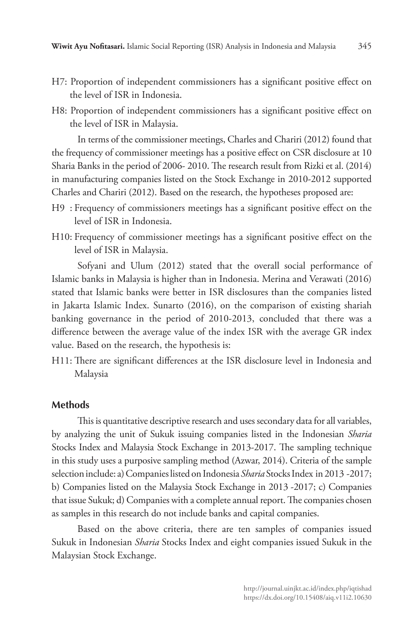- H7: Proportion of independent commissioners has a significant positive effect on the level of ISR in Indonesia.
- H8: Proportion of independent commissioners has a significant positive effect on the level of ISR in Malaysia.

In terms of the commissioner meetings, Charles and Chariri (2012) found that the frequency of commissioner meetings has a positive effect on CSR disclosure at 10 Sharia Banks in the period of 2006- 2010. The research result from Rizki et al. (2014) in manufacturing companies listed on the Stock Exchange in 2010-2012 supported Charles and Chariri (2012). Based on the research, the hypotheses proposed are:

- H9 : Frequency of commissioners meetings has a significant positive effect on the level of ISR in Indonesia.
- H10: Frequency of commissioner meetings has a significant positive effect on the level of ISR in Malaysia.

Sofyani and Ulum (2012) stated that the overall social performance of Islamic banks in Malaysia is higher than in Indonesia. Merina and Verawati (2016) stated that Islamic banks were better in ISR disclosures than the companies listed in Jakarta Islamic Index. Sunarto (2016), on the comparison of existing shariah banking governance in the period of 2010-2013, concluded that there was a difference between the average value of the index ISR with the average GR index value. Based on the research, the hypothesis is:

H11: There are significant differences at the ISR disclosure level in Indonesia and Malaysia

### **Methods**

This is quantitative descriptive research and uses secondary data for all variables, by analyzing the unit of Sukuk issuing companies listed in the Indonesian *Sharia* Stocks Index and Malaysia Stock Exchange in 2013-2017. The sampling technique in this study uses a purposive sampling method (Azwar, 2014). Criteria of the sample selection include: a) Companies listed on Indonesia *Sharia* Stocks Index in 2013 -2017; b) Companies listed on the Malaysia Stock Exchange in 2013 -2017; c) Companies that issue Sukuk; d) Companies with a complete annual report. The companies chosen as samples in this research do not include banks and capital companies.

Based on the above criteria, there are ten samples of companies issued Sukuk in Indonesian *Sharia* Stocks Index and eight companies issued Sukuk in the Malaysian Stock Exchange.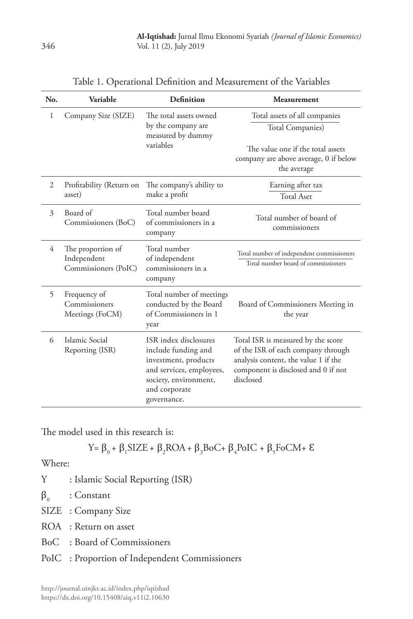| No.            | Variable                                                 | Definition                                                                                                                                                | Measurement                                                                                                                                                          |
|----------------|----------------------------------------------------------|-----------------------------------------------------------------------------------------------------------------------------------------------------------|----------------------------------------------------------------------------------------------------------------------------------------------------------------------|
| 1              | Company Size (SIZE)                                      | The total assets owned<br>by the company are<br>measured by dummy<br>variables                                                                            | Total assets of all companies<br>Total Companies)<br>The value one if the total assets<br>company are above average, 0 if below<br>the average                       |
| $\overline{2}$ | Profitability (Return on<br>asset)                       | The company's ability to<br>make a profit                                                                                                                 | Earning after tax<br><b>Total Aset</b>                                                                                                                               |
| 3              | Board of<br>Commissioners (BoC)                          | Total number board<br>of commissioners in a<br>company                                                                                                    | Total number of board of<br>commissioners                                                                                                                            |
| 4              | The proportion of<br>Independent<br>Commissioners (PoIC) | Total number<br>of independent<br>commissioners in a<br>company                                                                                           | Total number of independent commissioners<br>Total number board of commissioners                                                                                     |
| 5              | Frequency of<br>Commissioners<br>Meetings (FoCM)         | Total number of meetings<br>conducted by the Board<br>of Commissioners in 1<br>year                                                                       | Board of Commissioners Meeting in<br>the year                                                                                                                        |
| 6              | Islamic Social<br>Reporting (ISR)                        | ISR index disclosures<br>include funding and<br>investment, products<br>and services, employees,<br>society, environment,<br>and corporate<br>governance. | Total ISR is measured by the score<br>of the ISR of each company through<br>analysis content, the value 1 if the<br>component is disclosed and 0 if not<br>disclosed |

| Table 1. Operational Definition and Measurement of the Variables |  |  |  |  |
|------------------------------------------------------------------|--|--|--|--|
|------------------------------------------------------------------|--|--|--|--|

The model used in this research is:

$$
Y = \beta_0 + \beta_1 SIZE + \beta_2 ROA + \beta_3 BoC + \beta_4 PoIC + \beta_5 FoCM + \epsilon
$$

Where:

- Y : Islamic Social Reporting (ISR)
- $\beta_0$  : Constant
- SIZE : Company Size
- ROA : Return on asset
- BoC : Board of Commissioners
- PoIC : Proportion of Independent Commissioners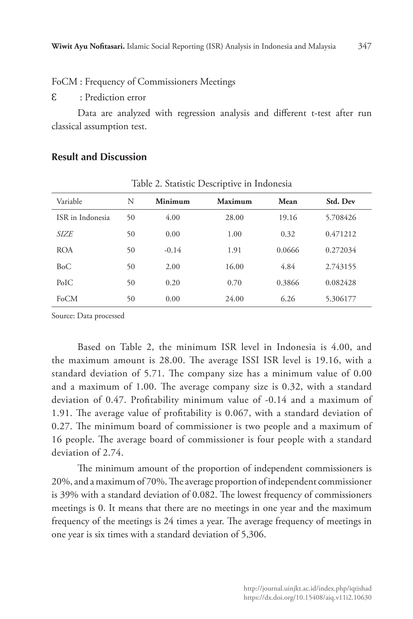FoCM : Frequency of Commissioners Meetings

Ɛ : Prediction error

Data are analyzed with regression analysis and different t-test after run classical assumption test.

Table 2. Statistic Descriptive in Indonesia

| rable 2. Statistic Descriptive in muonesia |    |         |                |        |          |  |
|--------------------------------------------|----|---------|----------------|--------|----------|--|
| Variable                                   | N  | Minimum | <b>Maximum</b> | Mean   | Std. Dev |  |
| ISR in Indonesia                           | 50 | 4.00    | 28.00          | 19.16  | 5.708426 |  |
| SIZE                                       | 50 | 0.00    | 1.00           | 0.32   | 0.471212 |  |
| <b>ROA</b>                                 | 50 | $-0.14$ | 1.91           | 0.0666 | 0.272034 |  |
| BoC                                        | 50 | 2.00    | 16.00          | 4.84   | 2.743155 |  |
| PoIC                                       | 50 | 0.20    | 0.70           | 0.3866 | 0.082428 |  |
| FoCM                                       | 50 | 0.00    | 24.00          | 6.26   | 5.306177 |  |

**Result and Discussion**

Source: Data processed

Based on Table 2, the minimum ISR level in Indonesia is 4.00, and the maximum amount is 28.00. The average ISSI ISR level is 19.16, with a standard deviation of 5.71. The company size has a minimum value of 0.00 and a maximum of 1.00. The average company size is 0.32, with a standard deviation of 0.47. Profitability minimum value of -0.14 and a maximum of 1.91. The average value of profitability is 0.067, with a standard deviation of 0.27. The minimum board of commissioner is two people and a maximum of 16 people. The average board of commissioner is four people with a standard deviation of 2.74.

The minimum amount of the proportion of independent commissioners is 20%, and a maximum of 70%. The average proportion of independent commissioner is 39% with a standard deviation of 0.082. The lowest frequency of commissioners meetings is 0. It means that there are no meetings in one year and the maximum frequency of the meetings is 24 times a year. The average frequency of meetings in one year is six times with a standard deviation of 5,306.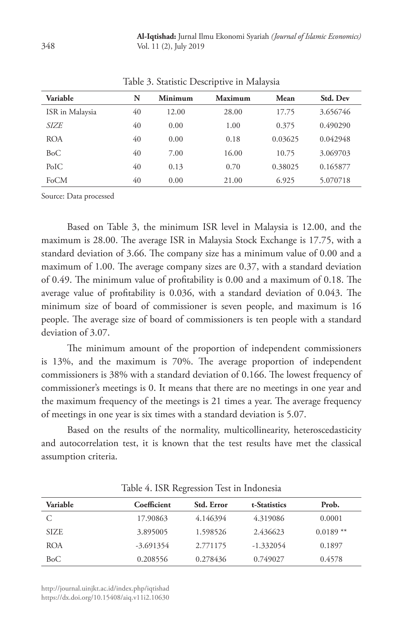| Variable        | N  | Minimum | Maximum | Mean    | Std. Dev |
|-----------------|----|---------|---------|---------|----------|
| ISR in Malaysia | 40 | 12.00   | 28.00   | 17.75   | 3.656746 |
| <i>SIZE</i>     | 40 | 0.00    | 1.00    | 0.375   | 0.490290 |
| <b>ROA</b>      | 40 | 0.00    | 0.18    | 0.03625 | 0.042948 |
| BoC             | 40 | 7.00    | 16.00   | 10.75   | 3.069703 |
| PoIC            | 40 | 0.13    | 0.70    | 0.38025 | 0.165877 |
| FoCM            | 40 | 0.00    | 21.00   | 6.925   | 5.070718 |

Table 3. Statistic Descriptive in Malaysia

Source: Data processed

Based on Table 3, the minimum ISR level in Malaysia is 12.00, and the maximum is 28.00. The average ISR in Malaysia Stock Exchange is 17.75, with a standard deviation of 3.66. The company size has a minimum value of 0.00 and a maximum of 1.00. The average company sizes are 0.37, with a standard deviation of 0.49. The minimum value of profitability is 0.00 and a maximum of 0.18. The average value of profitability is 0.036, with a standard deviation of 0.043. The minimum size of board of commissioner is seven people, and maximum is 16 people. The average size of board of commissioners is ten people with a standard deviation of 3.07.

The minimum amount of the proportion of independent commissioners is 13%, and the maximum is 70%. The average proportion of independent commissioners is 38% with a standard deviation of 0.166. The lowest frequency of commissioner's meetings is 0. It means that there are no meetings in one year and the maximum frequency of the meetings is 21 times a year. The average frequency of meetings in one year is six times with a standard deviation is 5.07.

Based on the results of the normality, multicollinearity, heteroscedasticity and autocorrelation test, it is known that the test results have met the classical assumption criteria.

| Variable    | Coefficient | Std. Error | t-Statistics | Prob.      |
|-------------|-------------|------------|--------------|------------|
|             | 17.90863    | 4.146394   | 4.319086     | 0.0001     |
| <b>SIZE</b> | 3.895005    | 1.598526   | 2.436623     | $0.0189**$ |
| <b>ROA</b>  | $-3.691354$ | 2.771175   | $-1.332054$  | 0.1897     |
| BoC         | 0.208556    | 0.278436   | 0.749027     | 0.4578     |

Table 4. ISR Regression Test in Indonesia

http://journal.uinjkt.ac.id/index.php/iqtishad https://dx.doi.org/10.15408/aiq.v11i2.10630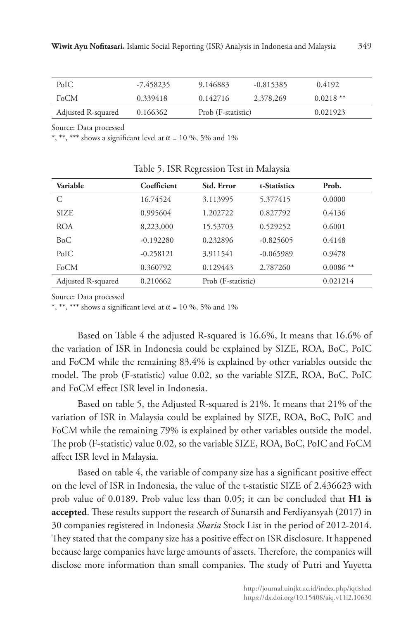| PoIC               | -7.458235 | 9.146883           | $-0.815385$ | 0.4192     |
|--------------------|-----------|--------------------|-------------|------------|
| FoCM               | 0.339418  | 0.142716           | 2,378,269   | $0.0218**$ |
| Adjusted R-squared | 0.166362  | Prob (F-statistic) |             | 0.021923   |

Source: Data processed

\*, \*\*\* shows a significant level at  $\alpha$  = 10 %, 5% and 1%

| Variable           | Coefficient | Std. Error         | t-Statistics | Prob.      |
|--------------------|-------------|--------------------|--------------|------------|
| C                  | 16.74524    | 3.113995           | 5.377415     | 0.0000     |
| <b>SIZE</b>        | 0.995604    | 1.202722           | 0.827792     | 0.4136     |
| <b>ROA</b>         | 8,223,000   | 15.53703           | 0.529252     | 0.6001     |
| BoC                | $-0.192280$ | 0.232896           | $-0.825605$  | 0.4148     |
| PoIC               | $-0.258121$ | 3.911541           | $-0.065989$  | 0.9478     |
| FoCM               | 0.360792    | 0.129443           | 2.787260     | $0.0086**$ |
| Adjusted R-squared | 0.210662    | Prob (F-statistic) |              | 0.021214   |

|  |  |  | Table 5. ISR Regression Test in Malaysia |  |  |  |  |  |
|--|--|--|------------------------------------------|--|--|--|--|--|
|--|--|--|------------------------------------------|--|--|--|--|--|

Source: Data processed

\*, \*\*\* shows a significant level at  $\alpha$  = 10 %, 5% and 1%

Based on Table 4 the adjusted R-squared is 16.6%, It means that 16.6% of the variation of ISR in Indonesia could be explained by SIZE, ROA, BoC, PoIC and FoCM while the remaining 83.4% is explained by other variables outside the model. The prob (F-statistic) value 0.02, so the variable SIZE, ROA, BoC, PoIC and FoCM effect ISR level in Indonesia.

Based on table 5, the Adjusted R-squared is 21%. It means that 21% of the variation of ISR in Malaysia could be explained by SIZE, ROA, BoC, PoIC and FoCM while the remaining 79% is explained by other variables outside the model. The prob (F-statistic) value 0.02, so the variable SIZE, ROA, BoC, PoIC and FoCM affect ISR level in Malaysia.

Based on table 4, the variable of company size has a significant positive effect on the level of ISR in Indonesia, the value of the t-statistic SIZE of 2.436623 with prob value of 0.0189. Prob value less than 0.05; it can be concluded that **H1 is accepted**. These results support the research of Sunarsih and Ferdiyansyah (2017) in 30 companies registered in Indonesia *Sharia* Stock List in the period of 2012-2014. They stated that the company size has a positive effect on ISR disclosure. It happened because large companies have large amounts of assets. Therefore, the companies will disclose more information than small companies. The study of Putri and Yuyetta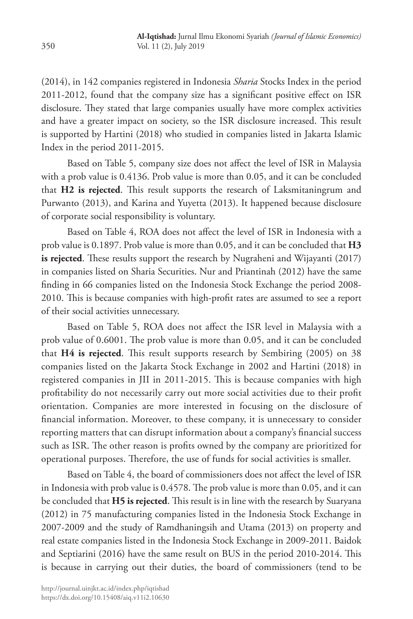(2014), in 142 companies registered in Indonesia *Sharia* Stocks Index in the period 2011-2012, found that the company size has a significant positive effect on ISR disclosure. They stated that large companies usually have more complex activities and have a greater impact on society, so the ISR disclosure increased. This result is supported by Hartini (2018) who studied in companies listed in Jakarta Islamic Index in the period 2011-2015.

Based on Table 5, company size does not affect the level of ISR in Malaysia with a prob value is 0.4136. Prob value is more than 0.05, and it can be concluded that **H2 is rejected**. This result supports the research of Laksmitaningrum and Purwanto (2013), and Karina and Yuyetta (2013). It happened because disclosure of corporate social responsibility is voluntary.

Based on Table 4, ROA does not affect the level of ISR in Indonesia with a prob value is 0.1897. Prob value is more than 0.05, and it can be concluded that **H3 is rejected**. These results support the research by Nugraheni and Wijayanti (2017) in companies listed on Sharia Securities. Nur and Priantinah (2012) have the same finding in 66 companies listed on the Indonesia Stock Exchange the period 2008- 2010. This is because companies with high-profit rates are assumed to see a report of their social activities unnecessary.

Based on Table 5, ROA does not affect the ISR level in Malaysia with a prob value of 0.6001. The prob value is more than 0.05, and it can be concluded that **H4 is rejected**. This result supports research by Sembiring (2005) on 38 companies listed on the Jakarta Stock Exchange in 2002 and Hartini (2018) in registered companies in JII in 2011-2015. This is because companies with high profitability do not necessarily carry out more social activities due to their profit orientation. Companies are more interested in focusing on the disclosure of financial information. Moreover, to these company, it is unnecessary to consider reporting matters that can disrupt information about a company's financial success such as ISR. The other reason is profits owned by the company are prioritized for operational purposes. Therefore, the use of funds for social activities is smaller.

Based on Table 4, the board of commissioners does not affect the level of ISR in Indonesia with prob value is 0.4578. The prob value is more than 0.05, and it can be concluded that **H5 is rejected**. This result is in line with the research by Suaryana (2012) in 75 manufacturing companies listed in the Indonesia Stock Exchange in 2007-2009 and the study of Ramdhaningsih and Utama (2013) on property and real estate companies listed in the Indonesia Stock Exchange in 2009-2011. Baidok and Septiarini (2016) have the same result on BUS in the period 2010-2014. This is because in carrying out their duties, the board of commissioners (tend to be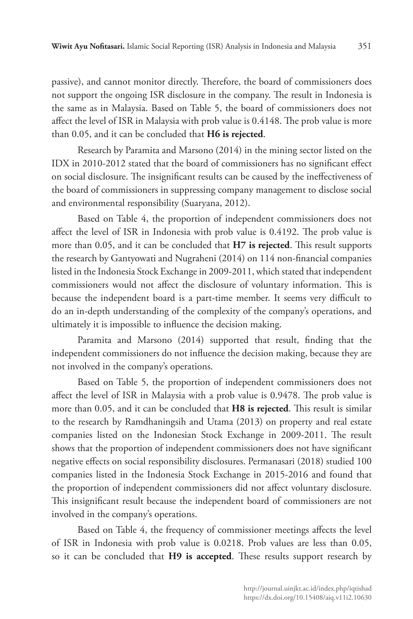passive), and cannot monitor directly. Therefore, the board of commissioners does not support the ongoing ISR disclosure in the company. The result in Indonesia is the same as in Malaysia. Based on Table 5, the board of commissioners does not affect the level of ISR in Malaysia with prob value is 0.4148. The prob value is more than 0.05, and it can be concluded that **H6 is rejected**.

Research by Paramita and Marsono (2014) in the mining sector listed on the IDX in 2010-2012 stated that the board of commissioners has no significant effect on social disclosure. The insignificant results can be caused by the ineffectiveness of the board of commissioners in suppressing company management to disclose social and environmental responsibility (Suaryana, 2012).

Based on Table 4, the proportion of independent commissioners does not affect the level of ISR in Indonesia with prob value is 0.4192. The prob value is more than 0.05, and it can be concluded that **H7 is rejected**. This result supports the research by Gantyowati and Nugraheni (2014) on 114 non-financial companies listed in the Indonesia Stock Exchange in 2009-2011, which stated that independent commissioners would not affect the disclosure of voluntary information. This is because the independent board is a part-time member. It seems very difficult to do an in-depth understanding of the complexity of the company's operations, and ultimately it is impossible to influence the decision making.

Paramita and Marsono (2014) supported that result, finding that the independent commissioners do not influence the decision making, because they are not involved in the company's operations.

Based on Table 5, the proportion of independent commissioners does not affect the level of ISR in Malaysia with a prob value is 0.9478. The prob value is more than 0.05, and it can be concluded that **H8 is rejected**. This result is similar to the research by Ramdhaningsih and Utama (2013) on property and real estate companies listed on the Indonesian Stock Exchange in 2009-2011. The result shows that the proportion of independent commissioners does not have significant negative effects on social responsibility disclosures. Permanasari (2018) studied 100 companies listed in the Indonesia Stock Exchange in 2015-2016 and found that the proportion of independent commissioners did not affect voluntary disclosure. This insignificant result because the independent board of commissioners are not involved in the company's operations.

Based on Table 4, the frequency of commissioner meetings affects the level of ISR in Indonesia with prob value is 0.0218. Prob values are less than 0.05, so it can be concluded that **H9 is accepted**. These results support research by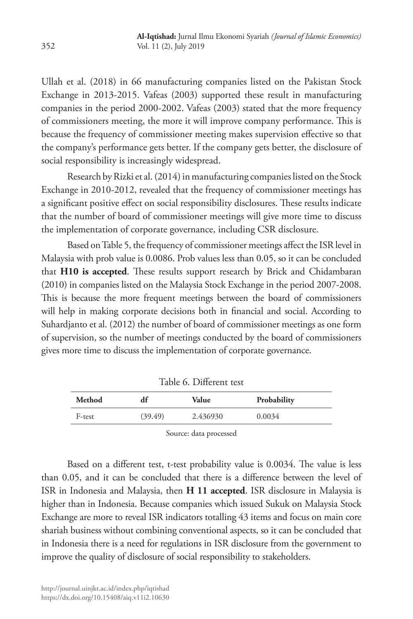Ullah et al. (2018) in 66 manufacturing companies listed on the Pakistan Stock Exchange in 2013-2015. Vafeas (2003) supported these result in manufacturing companies in the period 2000-2002. Vafeas (2003) stated that the more frequency of commissioners meeting, the more it will improve company performance. This is because the frequency of commissioner meeting makes supervision effective so that the company's performance gets better. If the company gets better, the disclosure of social responsibility is increasingly widespread.

Research by Rizki et al. (2014) in manufacturing companies listed on the Stock Exchange in 2010-2012, revealed that the frequency of commissioner meetings has a significant positive effect on social responsibility disclosures. These results indicate that the number of board of commissioner meetings will give more time to discuss the implementation of corporate governance, including CSR disclosure.

Based on Table 5, the frequency of commissioner meetings affect the ISR level in Malaysia with prob value is 0.0086. Prob values less than 0.05, so it can be concluded that **H10 is accepted**. These results support research by Brick and Chidambaran (2010) in companies listed on the Malaysia Stock Exchange in the period 2007-2008. This is because the more frequent meetings between the board of commissioners will help in making corporate decisions both in financial and social. According to Suhardjanto et al. (2012) the number of board of commissioner meetings as one form of supervision, so the number of meetings conducted by the board of commissioners gives more time to discuss the implementation of corporate governance.

| Method | df      | Value    | Probability |
|--------|---------|----------|-------------|
| F-test | (39.49) | 2.436930 | 0.0034      |
|        |         |          |             |

Table 6. Different test

Source: data processed

Based on a different test, t-test probability value is 0.0034. The value is less than 0.05, and it can be concluded that there is a difference between the level of ISR in Indonesia and Malaysia, then **H 11 accepted**. ISR disclosure in Malaysia is higher than in Indonesia. Because companies which issued Sukuk on Malaysia Stock Exchange are more to reveal ISR indicators totalling 43 items and focus on main core shariah business without combining conventional aspects, so it can be concluded that in Indonesia there is a need for regulations in ISR disclosure from the government to improve the quality of disclosure of social responsibility to stakeholders.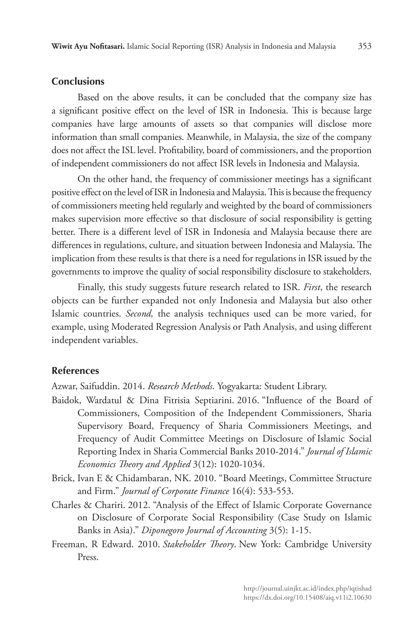#### **Conclusions**

Based on the above results, it can be concluded that the company size has a significant positive effect on the level of ISR in Indonesia. This is because large companies have large amounts of assets so that companies will disclose more information than small companies. Meanwhile, in Malaysia, the size of the company does not affect the ISL level. Profitability, board of commissioners, and the proportion of independent commissioners do not affect ISR levels in Indonesia and Malaysia.

On the other hand, the frequency of commissioner meetings has a significant positive effect on the level of ISR in Indonesia and Malaysia. This is because the frequency of commissioners meeting held regularly and weighted by the board of commissioners makes supervision more effective so that disclosure of social responsibility is getting better. There is a different level of ISR in Indonesia and Malaysia because there are differences in regulations, culture, and situation between Indonesia and Malaysia. The implication from these results is that there is a need for regulations in ISR issued by the governments to improve the quality of social responsibility disclosure to stakeholders.

Finally, this study suggests future research related to ISR. *First*, the research objects can be further expanded not only Indonesia and Malaysia but also other Islamic countries. *Second,* the analysis techniques used can be more varied, for example, using Moderated Regression Analysis or Path Analysis, and using different independent variables.

## **References**

Azwar, Saifuddin. 2014. *Research Methods*. Yogyakarta: Student Library.

- Baidok, Wardatul & Dina Fitrisia Septiarini. 2016. "Influence of the Board of Commissioners, Composition of the Independent Commissioners, Sharia Supervisory Board, Frequency of Sharia Commissioners Meetings, and Frequency of Audit Committee Meetings on Disclosure of Islamic Social Reporting Index in Sharia Commercial Banks 2010-2014." *Journal of Islamic Economics Theory and Applied* 3(12): 1020-1034.
- Brick, Ivan E & Chidambaran, NK. 2010. "Board Meetings, Committee Structure and Firm." *Journal of Corporate Finance* 16(4): 533-553.
- Charles & Chariri. 2012. "Analysis of the Effect of Islamic Corporate Governance on Disclosure of Corporate Social Responsibility (Case Study on Islamic Banks in Asia)." *Diponegoro Journal of Accounting* 3(5): 1-15.
- Freeman, R Edward. 2010. *Stakeholder Theory*. New York: Cambridge University Press.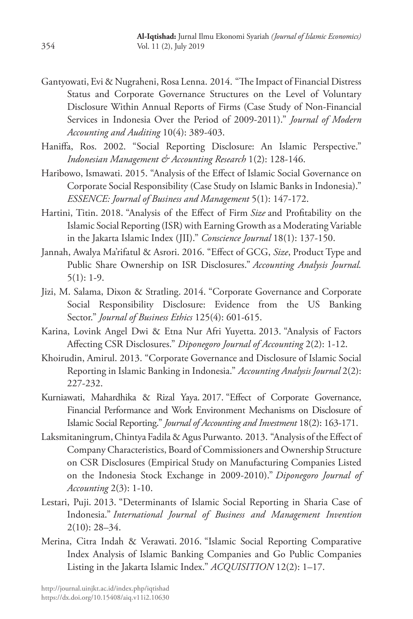- Gantyowati, Evi & Nugraheni, Rosa Lenna. 2014. "The Impact of Financial Distress Status and Corporate Governance Structures on the Level of Voluntary Disclosure Within Annual Reports of Firms (Case Study of Non-Financial Services in Indonesia Over the Period of 2009-2011)." *Journal of Modern Accounting and Auditing* 10(4): 389-403.
- Haniffa, Ros. 2002. "Social Reporting Disclosure: An Islamic Perspective." *Indonesian Management & Accounting Research* 1(2): 128-146.
- Haribowo, Ismawati. 2015. "Analysis of the Effect of Islamic Social Governance on Corporate Social Responsibility (Case Study on Islamic Banks in Indonesia)." *ESSENCE: Journal of Business and Management* 5(1): 147-172.
- Hartini, Titin. 2018. "Analysis of the Effect of Firm *Size* and Profitability on the Islamic Social Reporting (ISR) with Earning Growth as a Moderating Variable in the Jakarta Islamic Index (JII)." *Conscience Journal* 18(1): 137-150.
- Jannah, Awalya Ma'rifatul & Asrori. 2016. "Effect of GCG, *Size*, Product Type and Public Share Ownership on ISR Disclosures." *Accounting Analysis Journal.*  5(1): 1-9.
- Jizi, M. Salama, Dixon & Stratling. 2014. "Corporate Governance and Corporate Social Responsibility Disclosure: Evidence from the US Banking Sector." *Journal of Business Ethics* 125(4): 601-615.
- Karina, Lovink Angel Dwi & Etna Nur Afri Yuyetta. 2013. "Analysis of Factors Affecting CSR Disclosures." *Diponegoro Journal of Accounting* 2(2): 1-12.
- Khoirudin, Amirul. 2013. "Corporate Governance and Disclosure of Islamic Social Reporting in Islamic Banking in Indonesia." *Accounting Analysis Journal* 2(2): 227-232.
- Kurniawati, Mahardhika & Rizal Yaya. 2017. "Effect of Corporate Governance, Financial Performance and Work Environment Mechanisms on Disclosure of Islamic Social Reporting." *Journal of Accounting and Investment* 18(2): 163-171.
- Laksmitaningrum, Chintya Fadila & Agus Purwanto. 2013. "Analysis of the Effect of Company Characteristics, Board of Commissioners and Ownership Structure on CSR Disclosures (Empirical Study on Manufacturing Companies Listed on the Indonesia Stock Exchange in 2009-2010)." *Diponegoro Journal of Accounting* 2(3): 1-10.
- Lestari, Puji. 2013. "Determinants of Islamic Social Reporting in Sharia Case of Indonesia." *International Journal of Business and Management Invention*  2(10): 28–34.
- Merina, Citra Indah & Verawati. 2016. "Islamic Social Reporting Comparative Index Analysis of Islamic Banking Companies and Go Public Companies Listing in the Jakarta Islamic Index." *ACQUISITION* 12(2): 1–17.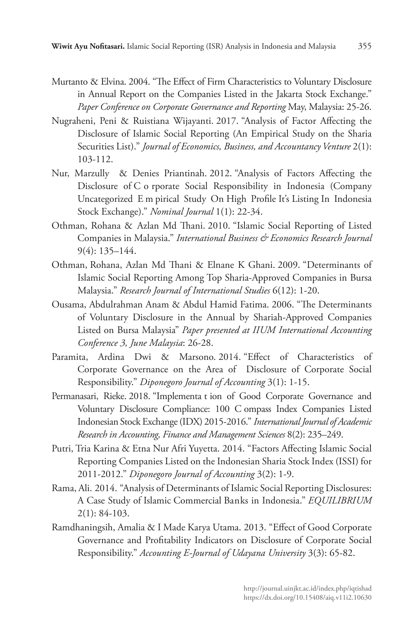- Murtanto & Elvina. 2004. "The Effect of Firm Characteristics to Voluntary Disclosure in Annual Report on the Companies Listed in the Jakarta Stock Exchange." *Paper Conference on Corporate Governance and Reporting* May, Malaysia: 25-26.
- Nugraheni, Peni & Ruistiana Wijayanti. 2017. "Analysis of Factor Affecting the Disclosure of Islamic Social Reporting (An Empirical Study on the Sharia Securities List)." *Journal of Economics, Business, and Accountancy Venture* 2(1): 103-112.
- Nur, Marzully & Denies Priantinah. 2012. "Analysis of Factors Affecting the Disclosure of C o rporate Social Responsibility in Indonesia (Company Uncategorized E m pirical Study On High Profile It's Listing In Indonesia Stock Exchange)." *Nominal Journal* 1(1): 22-34.
- Othman, Rohana & Azlan Md Thani. 2010. "Islamic Social Reporting of Listed Companies in Malaysia." *International Business & Economics Research Journal*  9(4): 135–144.
- Othman, Rohana, Azlan Md Thani & Elnane K Ghani. 2009. "Determinants of Islamic Social Reporting Among Top Sharia-Approved Companies in Bursa Malaysia." *Research Journal of International Studies* 6(12): 1-20.
- Ousama, Abdulrahman Anam & Abdul Hamid Fatima. 2006. "The Determinants of Voluntary Disclosure in the Annual by Shariah-Approved Companies Listed on Bursa Malaysia" *Paper presented at IIUM International Accounting Conference 3, June Malaysia*: 26-28.
- Paramita, Ardina Dwi & Marsono. 2014. "Effect of Characteristics of Corporate Governance on the Area of Disclosure of Corporate Social Responsibility." *Diponegoro Journal of Accounting* 3(1): 1-15.
- Permanasari, Rieke. 2018. "Implementa t ion of Good Corporate Governance and Voluntary Disclosure Compliance: 100 C ompass Index Companies Listed Indonesian Stock Exchange (IDX) 2015-2016." *International Journal of Academic Research in Accounting, Finance and Management Sciences* 8(2): 235–249.
- Putri, Tria Karina & Etna Nur Afri Yuyetta. 2014. "Factors Affecting Islamic Social Reporting Companies Listed on the Indonesian Sharia Stock Index (ISSI) for 2011-2012." *Diponegoro Journal of Accounting* 3(2): 1-9.
- Rama, Ali. 2014. "Analysis of Determinants of Islamic Social Reporting Disclosures: A Case Study of Islamic Commercial Banks in Indonesia." *EQUILIBRIUM*  2(1): 84-103.
- Ramdhaningsih, Amalia & I Made Karya Utama. 2013. "Effect of Good Corporate Governance and Profitability Indicators on Disclosure of Corporate Social Responsibility." *Accounting E-Journal of Udayana University* 3(3): 65-82.